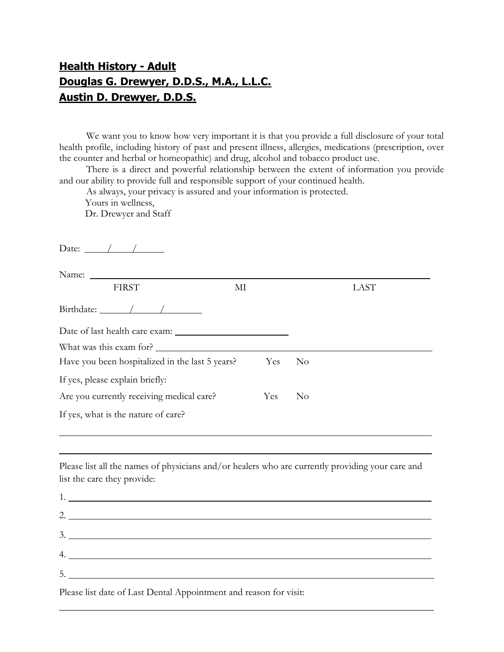## Health History - Adult Douglas G. Drewyer, D.D.S., M.A., L.L.C. Austin D. Drewyer, D.D.S.

We want you to know how very important it is that you provide a full disclosure of your total health profile, including history of past and present illness, allergies, medications (prescription, over the counter and herbal or homeopathic) and drug, alcohol and tobacco product use.

There is a direct and powerful relationship between the extent of information you provide and our ability to provide full and responsible support of your continued health.

As always, your privacy is assured and your information is protected.

Yours in wellness,

Dr. Drewyer and Staff

| <b>FIRST</b><br>MI                                                                               |     | LAST           |  |
|--------------------------------------------------------------------------------------------------|-----|----------------|--|
| Birthdate: $\angle$ / /                                                                          |     |                |  |
|                                                                                                  |     |                |  |
| What was this exam for?                                                                          |     |                |  |
| Have you been hospitalized in the last 5 years?                                                  | Yes | N <sub>o</sub> |  |
| If yes, please explain briefly:                                                                  |     |                |  |
| Are you currently receiving medical care?                                                        | Yes | $\rm No$       |  |
| If yes, what is the nature of care?                                                              |     |                |  |
|                                                                                                  |     |                |  |
|                                                                                                  |     |                |  |
| Please list all the names of physicians and/or healers who are currently providing your care and |     |                |  |
| list the care they provide:                                                                      |     |                |  |
|                                                                                                  |     |                |  |
| 2. $\overline{\phantom{a}}$                                                                      |     |                |  |
|                                                                                                  |     |                |  |
|                                                                                                  |     |                |  |
| 4.                                                                                               |     |                |  |

 $\overline{\phantom{a}}$  , and the contract of the contract of the contract of the contract of the contract of the contract of the contract of the contract of the contract of the contract of the contract of the contract of the contrac

Please list date of Last Dental Appointment and reason for visit: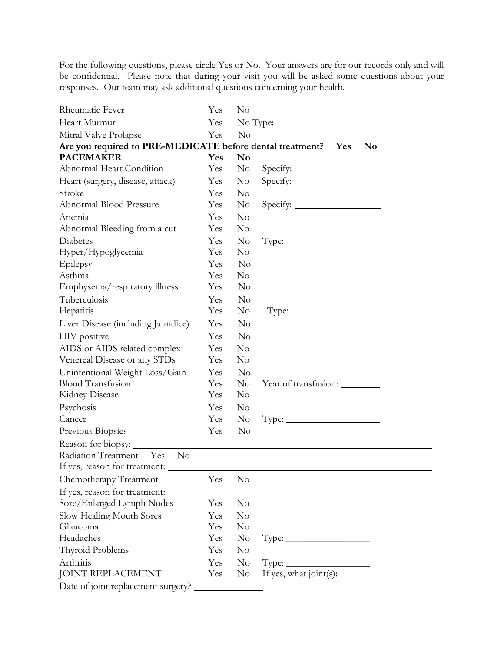For the following questions, please circle Yes or No. Your answers are for our records only and will be confidential. Please note that during your visit you will be asked some questions about your responses. Our team may ask additional questions concerning your health.

| Rheumatic Fever                                                | Yes | $\rm No$               |                                                                  |
|----------------------------------------------------------------|-----|------------------------|------------------------------------------------------------------|
| Heart Murmur                                                   | Yes |                        |                                                                  |
| Mitral Valve Prolapse                                          | Yes | No                     |                                                                  |
| Are you required to PRE-MEDICATE before dental treatment?  Yes |     |                        | N <sub>0</sub>                                                   |
| <b>PACEMAKER</b>                                               | Yes | $\mathbf{N}\mathbf{o}$ |                                                                  |
| Abnormal Heart Condition                                       | Yes | $\rm No$               |                                                                  |
| Heart (surgery, disease, attack)                               | Yes | N <sub>0</sub>         |                                                                  |
| Stroke                                                         | Yes | $\rm No$               |                                                                  |
| Abnormal Blood Pressure                                        | Yes | $\rm No$               | $Specify: \_$                                                    |
| Anemia                                                         | Yes | $\rm No$               |                                                                  |
| Abnormal Bleeding from a cut                                   | Yes | N <sub>o</sub>         |                                                                  |
| Diabetes                                                       | Yes | $\rm No$               | $Type: \_\_\_\_\_\_\_\_\_\_\_\_\_\_\_\_\_\_\_\_\_\_\_\_\_\_\_\_$ |
| Hyper/Hypoglycemia                                             | Yes | N <sub>o</sub>         |                                                                  |
| Epilepsy                                                       | Yes | $\rm No$               |                                                                  |
| Asthma                                                         | Yes | $\rm No$               |                                                                  |
| Emphysema/respiratory illness                                  | Yes | $\rm No$               |                                                                  |
| Tuberculosis                                                   | Yes | $\rm No$               |                                                                  |
| Hepatitis                                                      | Yes | $\rm No$               | $Type: \_\_\_\_\_\_\_\_\_\_\_\_\_\_\_\_\_\_\_\_\_\_\_\_\_\_\_\_$ |
| Liver Disease (including Jaundice)                             | Yes | N <sub>o</sub>         |                                                                  |
| HIV positive                                                   | Yes | $\rm No$               |                                                                  |
| AIDS or AIDS related complex                                   | Yes | No                     |                                                                  |
| Venereal Disease or any STDs                                   | Yes | $\rm No$               |                                                                  |
| Unintentional Weight Loss/Gain                                 | Yes | $\rm No$               |                                                                  |
| <b>Blood Transfusion</b>                                       | Yes | $\rm No$               | Year of transfusion:                                             |
| Kidney Disease                                                 | Yes | $\rm No$               |                                                                  |
| Psychosis                                                      | Yes | $\rm No$               |                                                                  |
| Cancer                                                         | Yes | $\rm No$               | $Type: \_\_\_\_\_\_\_\_\_\_\_\_\_\_\_\_\_\_\_\_\_\_\_\_\_\_\_$   |
| Previous Biopsies                                              | Yes | N <sub>o</sub>         |                                                                  |
| Reason for biopsy:                                             |     |                        |                                                                  |
| Radiation Treatment<br>Yes<br>$\rm No$                         |     |                        |                                                                  |
|                                                                |     |                        |                                                                  |
| Chemotherapy Treatment                                         | Yes | $\rm No$               |                                                                  |
| If yes, reason for treatment:                                  |     |                        |                                                                  |
| Sore/Enlarged Lymph Nodes                                      | Yes | No                     |                                                                  |
| Slow Healing Mouth Sores                                       | Yes | $\rm No$               |                                                                  |
| Glaucoma                                                       | Yes | $\rm No$               |                                                                  |
| Headaches                                                      | Yes | $\rm No$               |                                                                  |
| Thyroid Problems                                               | Yes | $\rm No$               |                                                                  |
| Arthritis                                                      | Yes | N <sub>0</sub>         |                                                                  |
| <b>JOINT REPLACEMENT</b>                                       | Yes | $\rm No$               |                                                                  |
| Date of joint replacement surgery?                             |     |                        |                                                                  |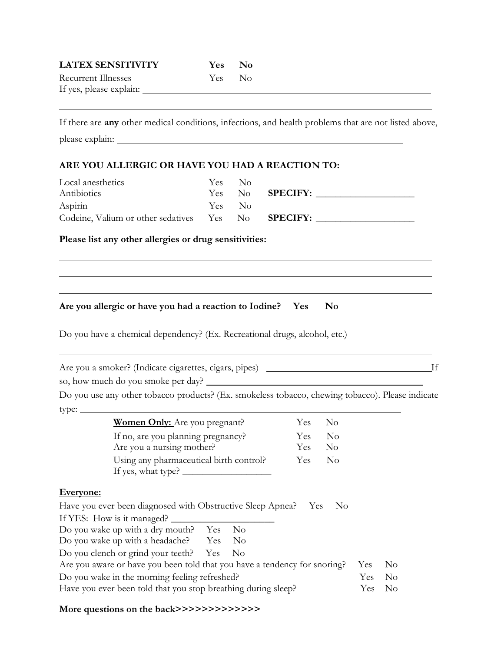| <b>LATEX SENSITIVITY</b>   | Yes No |  |
|----------------------------|--------|--|
| <b>Recurrent Illnesses</b> | Yes No |  |
| If yes, please explain:    |        |  |
|                            |        |  |

If there are any other medical conditions, infections, and health problems that are not listed above, please explain:

## ARE YOU ALLERGIC OR HAVE YOU HAD A REACTION TO:

| Local anesthetics                                         |        | Yes No |                        |  |
|-----------------------------------------------------------|--------|--------|------------------------|--|
| Antibiotics                                               |        |        | Yes No <b>SPECIFY:</b> |  |
| Aspirin                                                   | Yes No |        |                        |  |
| Codeine, Valium or other sedatives Yes No <b>SPECIFY:</b> |        |        |                        |  |

## Please list any other allergies or drug sensitivities:

Are you allergic or have you had a reaction to Iodine? Yes No

Do you have a chemical dependency? (Ex. Recreational drugs, alcohol, etc.)

Are you a smoker? (Indicate cigarettes, cigars, pipes) If

so, how much do you smoke per day?

Do you use any other tobacco products? (Ex. smokeless tobacco, chewing tobacco). Please indicate type:

| <b>Women Only:</b> Are you pregnant?    | Yes No     |      |
|-----------------------------------------|------------|------|
| If no, are you planning pregnancy?      | Yes.       | - No |
| Are you a nursing mother?               | <b>Yes</b> | - No |
| Using any pharmaceutical birth control? | Yes        | - No |
| If yes, what type? _                    |            |      |

## Everyone:

 $\overline{a}$ 

 $\overline{\phantom{0}}$ 

| Have you ever been diagnosed with Obstructive Sleep Apnea? Yes No                |     |     |
|----------------------------------------------------------------------------------|-----|-----|
| If YES: How is it managed?                                                       |     |     |
| Do you wake up with a dry mouth? Yes<br>- No                                     |     |     |
| Do you wake up with a headache? Yes No                                           |     |     |
| Do you clench or grind your teeth? Yes No                                        |     |     |
| Are you aware or have you been told that you have a tendency for snoring? Yes No |     |     |
| Do you wake in the morning feeling refreshed?                                    | Yes | No. |
| Have you ever been told that you stop breathing during sleep?                    | Yes | No. |

More questions on the back>>>>>>>>>>>>>